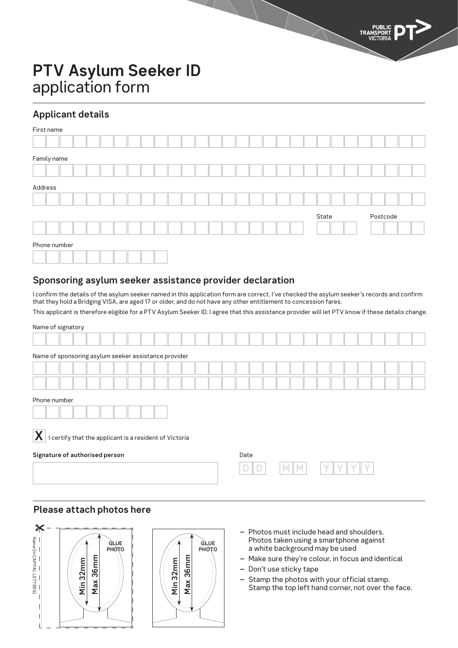# **Applicant details**

| First name   |  |  |  |  |  |  |  |  |       |  |  |          |  |
|--------------|--|--|--|--|--|--|--|--|-------|--|--|----------|--|
|              |  |  |  |  |  |  |  |  |       |  |  |          |  |
| Family name  |  |  |  |  |  |  |  |  |       |  |  |          |  |
|              |  |  |  |  |  |  |  |  |       |  |  |          |  |
| Address      |  |  |  |  |  |  |  |  |       |  |  |          |  |
|              |  |  |  |  |  |  |  |  |       |  |  |          |  |
|              |  |  |  |  |  |  |  |  | State |  |  | Postcode |  |
|              |  |  |  |  |  |  |  |  |       |  |  |          |  |
| Phone number |  |  |  |  |  |  |  |  |       |  |  |          |  |
|              |  |  |  |  |  |  |  |  |       |  |  |          |  |

#### **Sponsoring asylum seeker assistance provider declaration**

I confirm the details of the asylum seeker named in this application form are correct. I've checked the asylum seeker's records and confirm that they hold a Bridging VISA, are aged 17 or older, and do not have any other entitlement to concession fares.

This applicant is therefore eligible for a PTV Asylum Seeker ID. I agree that this assistance provider will let PTV know if these details change.

| Name of signatory                                           |      |
|-------------------------------------------------------------|------|
|                                                             |      |
| Name of sponsoring asylum seeker assistance provider        |      |
|                                                             |      |
|                                                             |      |
| Phone number                                                |      |
|                                                             |      |
| X<br>I certify that the applicant is a resident of Victoria |      |
| Signature of authorised person                              | Date |
|                                                             |      |

## **Please attach photos here**





- **–** Photos must include head and shoulders. Photos taken using a smartphone against a white background may be used
- **–** Make sure they're colour, in focus and identical
- **–** Don't use sticky tape
- **–** Stamp the photos with your official stamp. Stamp the top left hand corner, not over the face.